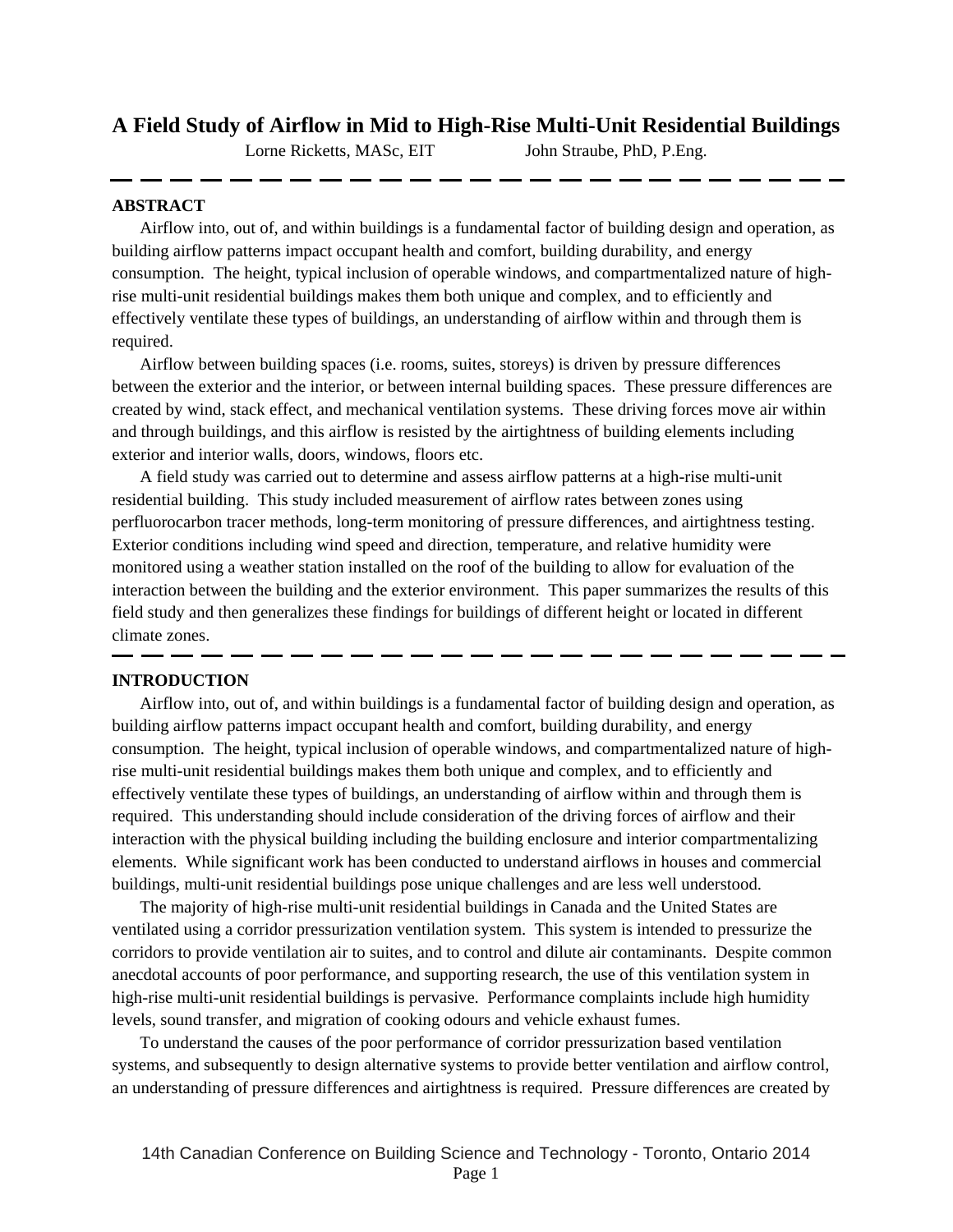# **A Field Study of Airflow in Mid to High-Rise Multi-Unit Residential Buildings**

Lorne Ricketts, MASc, EIT John Straube, PhD, P.Eng.

# **ABSTRACT**

Airflow into, out of, and within buildings is a fundamental factor of building design and operation, as building airflow patterns impact occupant health and comfort, building durability, and energy consumption. The height, typical inclusion of operable windows, and compartmentalized nature of highrise multi-unit residential buildings makes them both unique and complex, and to efficiently and effectively ventilate these types of buildings, an understanding of airflow within and through them is required.

Airflow between building spaces (i.e. rooms, suites, storeys) is driven by pressure differences between the exterior and the interior, or between internal building spaces. These pressure differences are created by wind, stack effect, and mechanical ventilation systems. These driving forces move air within and through buildings, and this airflow is resisted by the airtightness of building elements including exterior and interior walls, doors, windows, floors etc.

A field study was carried out to determine and assess airflow patterns at a high-rise multi-unit residential building. This study included measurement of airflow rates between zones using perfluorocarbon tracer methods, long-term monitoring of pressure differences, and airtightness testing. Exterior conditions including wind speed and direction, temperature, and relative humidity were monitored using a weather station installed on the roof of the building to allow for evaluation of the interaction between the building and the exterior environment. This paper summarizes the results of this field study and then generalizes these findings for buildings of different height or located in different climate zones.

# **INTRODUCTION**

Airflow into, out of, and within buildings is a fundamental factor of building design and operation, as building airflow patterns impact occupant health and comfort, building durability, and energy consumption. The height, typical inclusion of operable windows, and compartmentalized nature of highrise multi-unit residential buildings makes them both unique and complex, and to efficiently and effectively ventilate these types of buildings, an understanding of airflow within and through them is required. This understanding should include consideration of the driving forces of airflow and their interaction with the physical building including the building enclosure and interior compartmentalizing elements. While significant work has been conducted to understand airflows in houses and commercial buildings, multi-unit residential buildings pose unique challenges and are less well understood.

The majority of high-rise multi-unit residential buildings in Canada and the United States are ventilated using a corridor pressurization ventilation system. This system is intended to pressurize the corridors to provide ventilation air to suites, and to control and dilute air contaminants. Despite common anecdotal accounts of poor performance, and supporting research, the use of this ventilation system in high-rise multi-unit residential buildings is pervasive. Performance complaints include high humidity levels, sound transfer, and migration of cooking odours and vehicle exhaust fumes.

To understand the causes of the poor performance of corridor pressurization based ventilation systems, and subsequently to design alternative systems to provide better ventilation and airflow control, an understanding of pressure differences and airtightness is required. Pressure differences are created by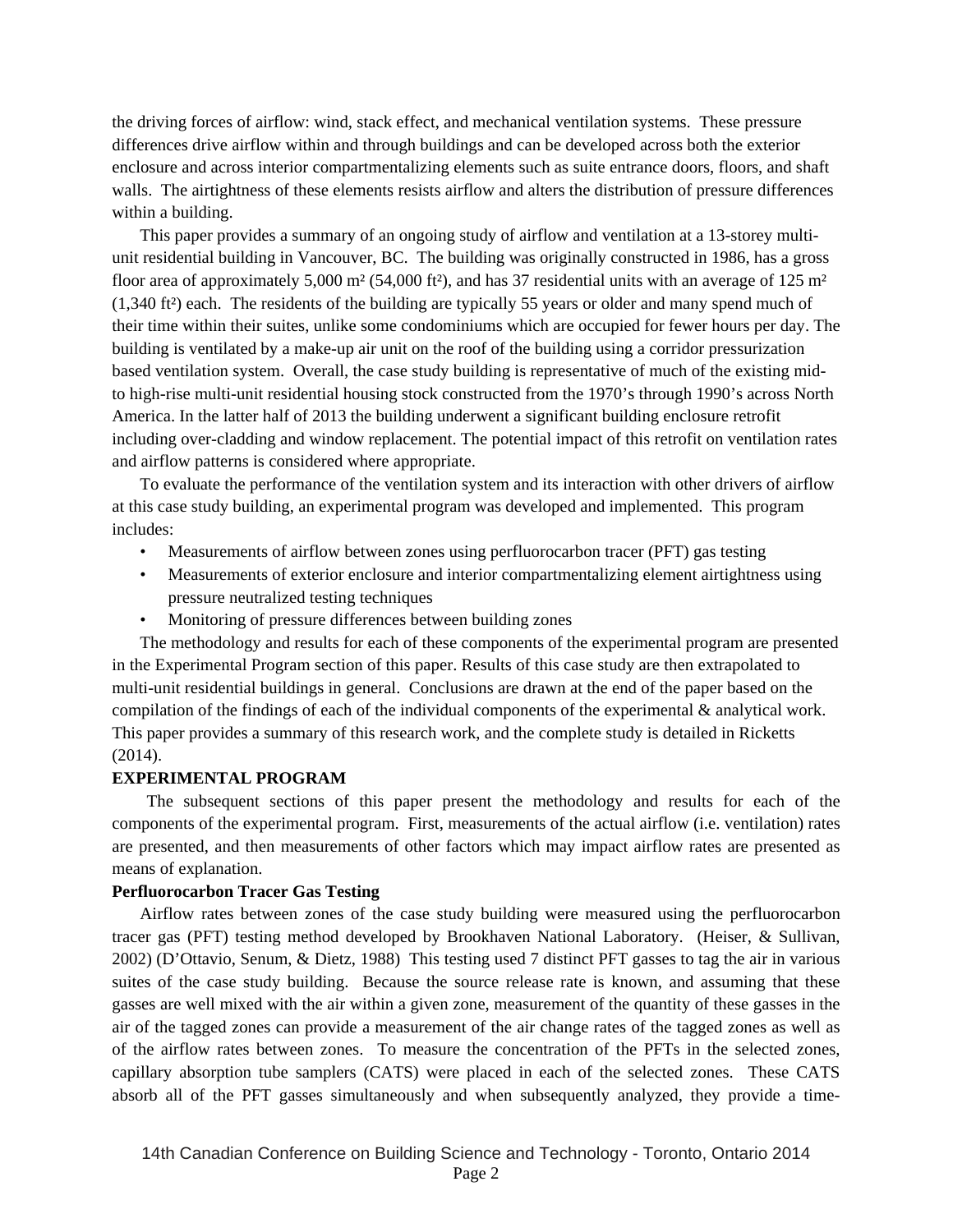the driving forces of airflow: wind, stack effect, and mechanical ventilation systems. These pressure differences drive airflow within and through buildings and can be developed across both the exterior enclosure and across interior compartmentalizing elements such as suite entrance doors, floors, and shaft walls. The airtightness of these elements resists airflow and alters the distribution of pressure differences within a building.

This paper provides a summary of an ongoing study of airflow and ventilation at a 13-storey multiunit residential building in Vancouver, BC. The building was originally constructed in 1986, has a gross floor area of approximately 5,000 m<sup>2</sup> (54,000 ft<sup>2</sup>), and has 37 residential units with an average of 125 m<sup>2</sup> (1,340 ft²) each. The residents of the building are typically 55 years or older and many spend much of their time within their suites, unlike some condominiums which are occupied for fewer hours per day. The building is ventilated by a make-up air unit on the roof of the building using a corridor pressurization based ventilation system. Overall, the case study building is representative of much of the existing midto high-rise multi-unit residential housing stock constructed from the 1970's through 1990's across North America. In the latter half of 2013 the building underwent a significant building enclosure retrofit including over-cladding and window replacement. The potential impact of this retrofit on ventilation rates and airflow patterns is considered where appropriate.

To evaluate the performance of the ventilation system and its interaction with other drivers of airflow at this case study building, an experimental program was developed and implemented. This program includes:

- Measurements of airflow between zones using perfluorocarbon tracer (PFT) gas testing
- Measurements of exterior enclosure and interior compartmentalizing element airtightness using pressure neutralized testing techniques
- Monitoring of pressure differences between building zones

The methodology and results for each of these components of the experimental program are presented in the Experimental Program section of this paper. Results of this case study are then extrapolated to multi-unit residential buildings in general. Conclusions are drawn at the end of the paper based on the compilation of the findings of each of the individual components of the experimental & analytical work. This paper provides a summary of this research work, and the complete study is detailed in Ricketts (2014).

#### **EXPERIMENTAL PROGRAM**

The subsequent sections of this paper present the methodology and results for each of the components of the experimental program. First, measurements of the actual airflow (i.e. ventilation) rates are presented, and then measurements of other factors which may impact airflow rates are presented as means of explanation.

#### **Perfluorocarbon Tracer Gas Testing**

Airflow rates between zones of the case study building were measured using the perfluorocarbon tracer gas (PFT) testing method developed by Brookhaven National Laboratory. (Heiser, & Sullivan, 2002) (D'Ottavio, Senum, & Dietz, 1988) This testing used 7 distinct PFT gasses to tag the air in various suites of the case study building. Because the source release rate is known, and assuming that these gasses are well mixed with the air within a given zone, measurement of the quantity of these gasses in the air of the tagged zones can provide a measurement of the air change rates of the tagged zones as well as of the airflow rates between zones. To measure the concentration of the PFTs in the selected zones, capillary absorption tube samplers (CATS) were placed in each of the selected zones. These CATS absorb all of the PFT gasses simultaneously and when subsequently analyzed, they provide a time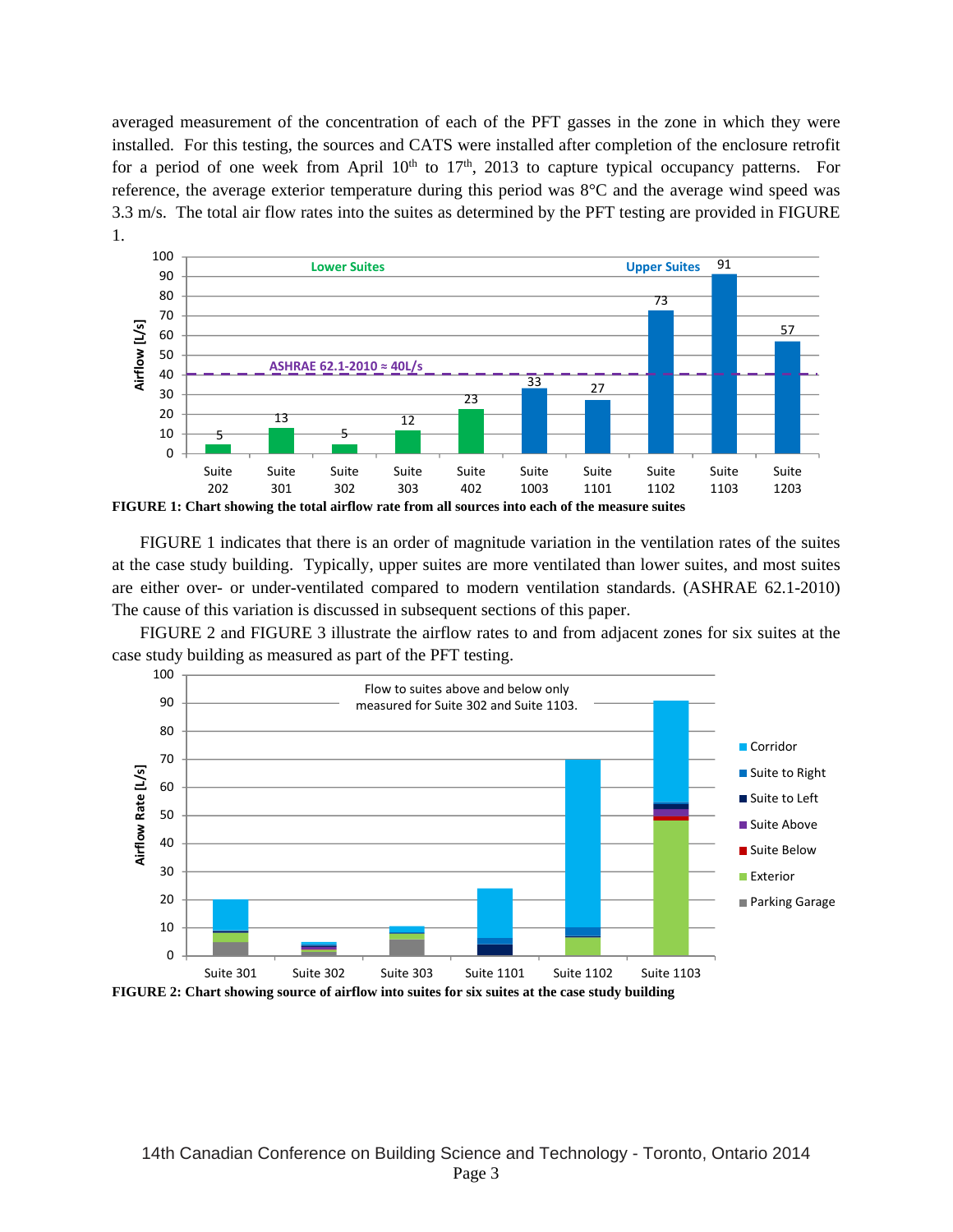averaged measurement of the concentration of each of the PFT gasses in the zone in which they were installed. For this testing, the sources and CATS were installed after completion of the enclosure retrofit for a period of one week from April  $10<sup>th</sup>$  to  $17<sup>th</sup>$ , 2013 to capture typical occupancy patterns. For reference, the average exterior temperature during this period was 8°C and the average wind speed was 3.3 m/s. The total air flow rates into the suites as determined by the PFT testing are provided in FIGURE 1.



FIGURE 1 indicates that there is an order of magnitude variation in the ventilation rates of the suites at the case study building. Typically, upper suites are more ventilated than lower suites, and most suites are either over- or under-ventilated compared to modern ventilation standards. (ASHRAE 62.1-2010) The cause of this variation is discussed in subsequent sections of this paper.

FIGURE 2 and FIGURE 3 illustrate the airflow rates to and from adjacent zones for six suites at the case study building as measured as part of the PFT testing.

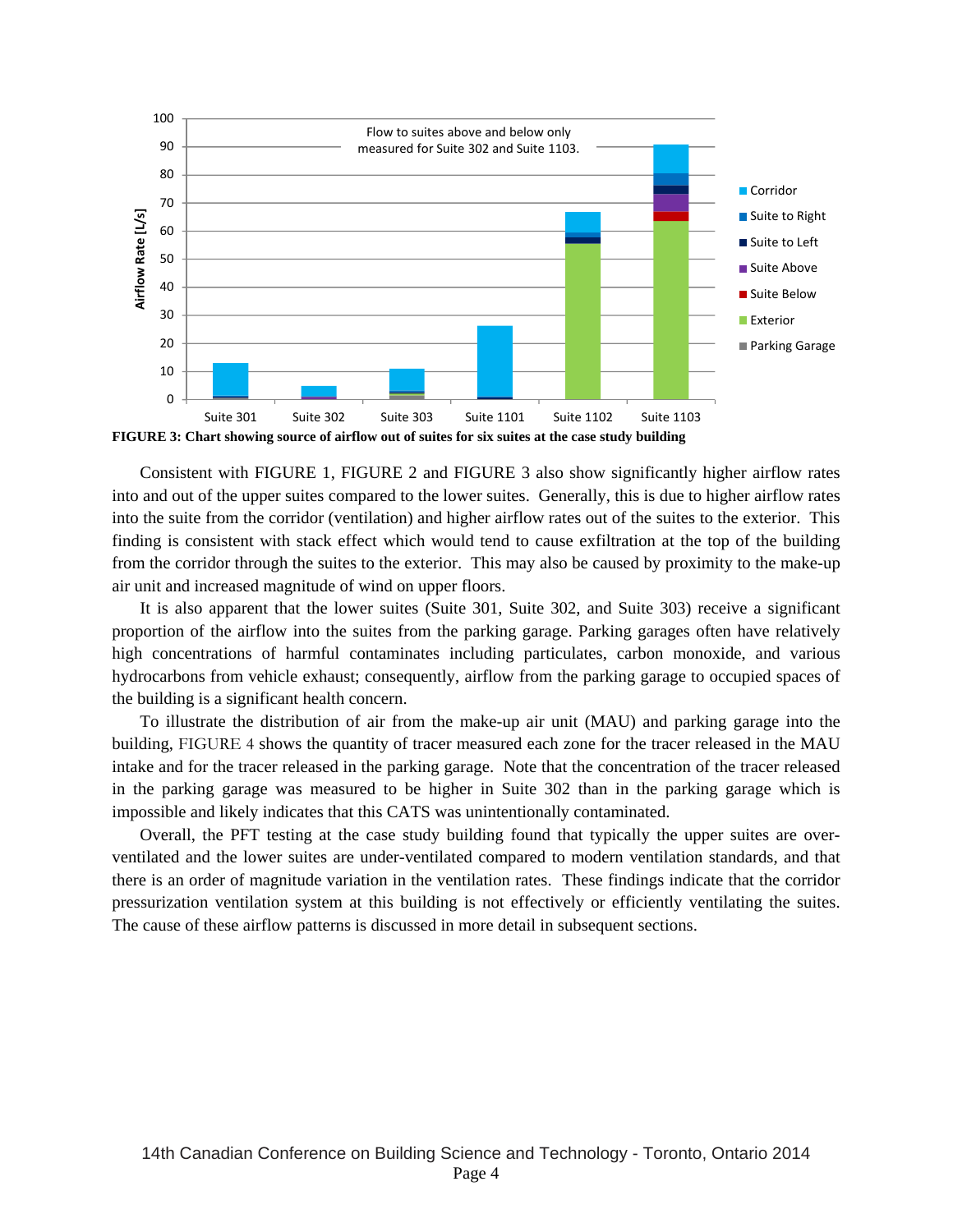

Consistent with FIGURE 1, FIGURE 2 and FIGURE 3 also show significantly higher airflow rates into and out of the upper suites compared to the lower suites. Generally, this is due to higher airflow rates into the suite from the corridor (ventilation) and higher airflow rates out of the suites to the exterior. This finding is consistent with stack effect which would tend to cause exfiltration at the top of the building from the corridor through the suites to the exterior. This may also be caused by proximity to the make-up air unit and increased magnitude of wind on upper floors.

It is also apparent that the lower suites (Suite 301, Suite 302, and Suite 303) receive a significant proportion of the airflow into the suites from the parking garage. Parking garages often have relatively high concentrations of harmful contaminates including particulates, carbon monoxide, and various hydrocarbons from vehicle exhaust; consequently, airflow from the parking garage to occupied spaces of the building is a significant health concern.

To illustrate the distribution of air from the make-up air unit (MAU) and parking garage into the building, FIGURE 4 shows the quantity of tracer measured each zone for the tracer released in the MAU intake and for the tracer released in the parking garage. Note that the concentration of the tracer released in the parking garage was measured to be higher in Suite 302 than in the parking garage which is impossible and likely indicates that this CATS was unintentionally contaminated.

Overall, the PFT testing at the case study building found that typically the upper suites are overventilated and the lower suites are under-ventilated compared to modern ventilation standards, and that there is an order of magnitude variation in the ventilation rates. These findings indicate that the corridor pressurization ventilation system at this building is not effectively or efficiently ventilating the suites. The cause of these airflow patterns is discussed in more detail in subsequent sections.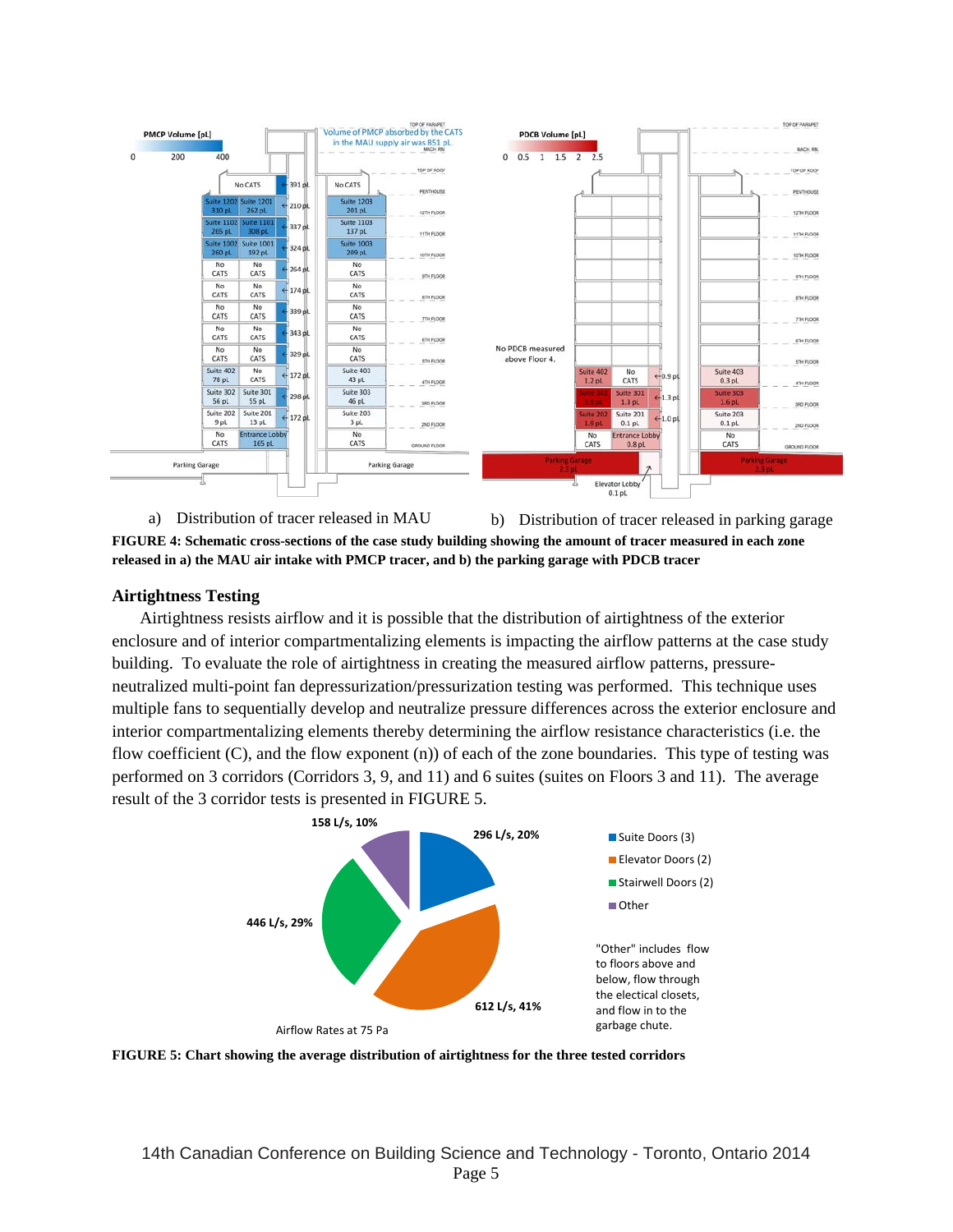

a) Distribution of tracer released in MAU b) Distribution of tracer released in parking garage **FIGURE 4: Schematic cross-sections of the case study building showing the amount of tracer measured in each zone released in a) the MAU air intake with PMCP tracer, and b) the parking garage with PDCB tracer** 

# **Airtightness Testing**

Airtightness resists airflow and it is possible that the distribution of airtightness of the exterior enclosure and of interior compartmentalizing elements is impacting the airflow patterns at the case study building. To evaluate the role of airtightness in creating the measured airflow patterns, pressureneutralized multi-point fan depressurization/pressurization testing was performed. This technique uses multiple fans to sequentially develop and neutralize pressure differences across the exterior enclosure and interior compartmentalizing elements thereby determining the airflow resistance characteristics (i.e. the flow coefficient  $(C)$ , and the flow exponent  $(n)$  of each of the zone boundaries. This type of testing was performed on 3 corridors (Corridors 3, 9, and 11) and 6 suites (suites on Floors 3 and 11). The average result of the 3 corridor tests is presented in FIGURE 5.



**FIGURE 5: Chart showing the average distribution of airtightness for the three tested corridors**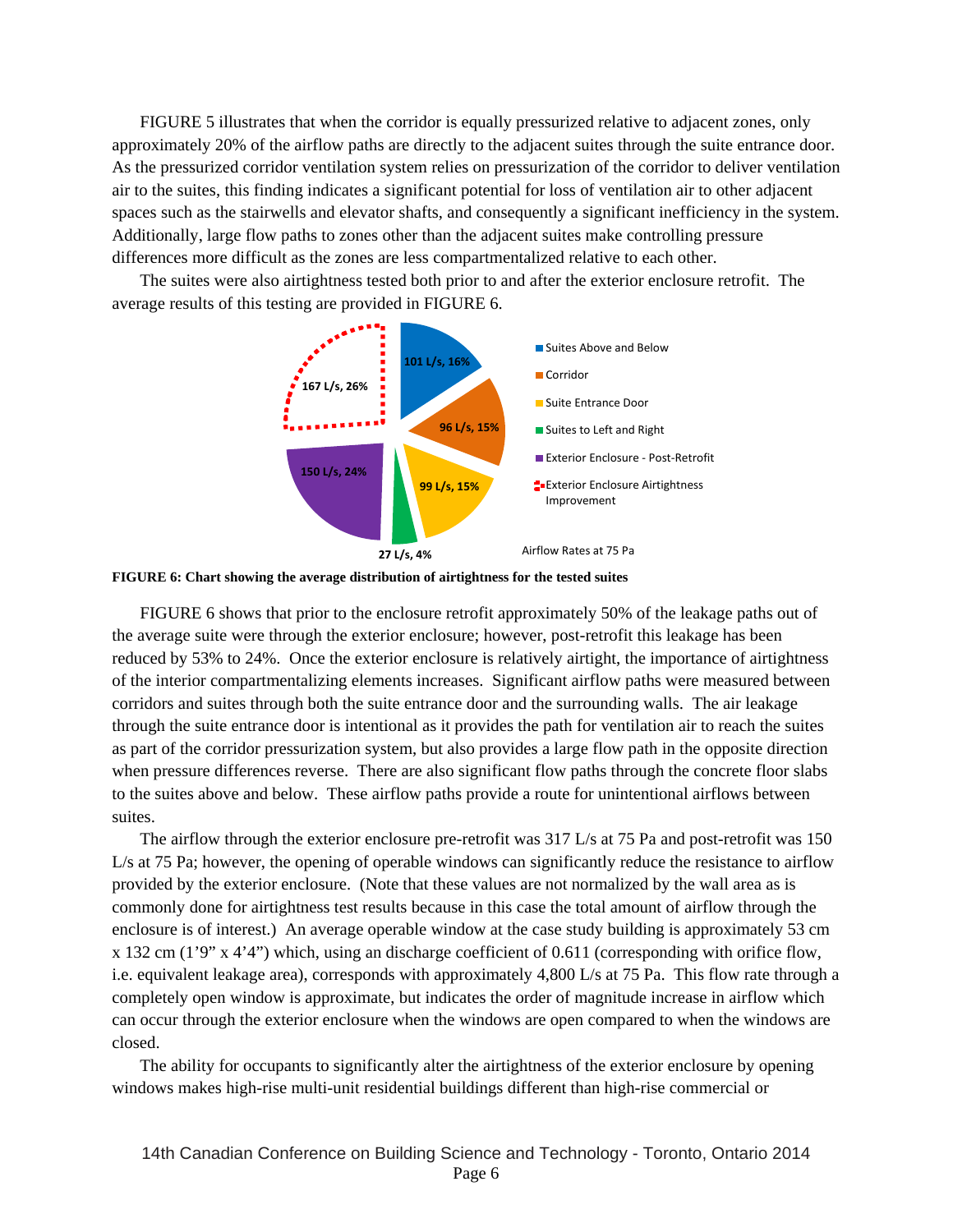FIGURE 5 illustrates that when the corridor is equally pressurized relative to adjacent zones, only approximately 20% of the airflow paths are directly to the adjacent suites through the suite entrance door. As the pressurized corridor ventilation system relies on pressurization of the corridor to deliver ventilation air to the suites, this finding indicates a significant potential for loss of ventilation air to other adjacent spaces such as the stairwells and elevator shafts, and consequently a significant inefficiency in the system. Additionally, large flow paths to zones other than the adjacent suites make controlling pressure differences more difficult as the zones are less compartmentalized relative to each other.

The suites were also airtightness tested both prior to and after the exterior enclosure retrofit. The average results of this testing are provided in FIGURE 6.





FIGURE 6 shows that prior to the enclosure retrofit approximately 50% of the leakage paths out of the average suite were through the exterior enclosure; however, post-retrofit this leakage has been reduced by 53% to 24%. Once the exterior enclosure is relatively airtight, the importance of airtightness of the interior compartmentalizing elements increases. Significant airflow paths were measured between corridors and suites through both the suite entrance door and the surrounding walls. The air leakage through the suite entrance door is intentional as it provides the path for ventilation air to reach the suites as part of the corridor pressurization system, but also provides a large flow path in the opposite direction when pressure differences reverse. There are also significant flow paths through the concrete floor slabs to the suites above and below. These airflow paths provide a route for unintentional airflows between suites.

The airflow through the exterior enclosure pre-retrofit was 317 L/s at 75 Pa and post-retrofit was 150 L/s at 75 Pa; however, the opening of operable windows can significantly reduce the resistance to airflow provided by the exterior enclosure. (Note that these values are not normalized by the wall area as is commonly done for airtightness test results because in this case the total amount of airflow through the enclosure is of interest.) An average operable window at the case study building is approximately 53 cm x 132 cm (1'9" x 4'4") which, using an discharge coefficient of 0.611 (corresponding with orifice flow, i.e. equivalent leakage area), corresponds with approximately 4,800 L/s at 75 Pa. This flow rate through a completely open window is approximate, but indicates the order of magnitude increase in airflow which can occur through the exterior enclosure when the windows are open compared to when the windows are closed.

The ability for occupants to significantly alter the airtightness of the exterior enclosure by opening windows makes high-rise multi-unit residential buildings different than high-rise commercial or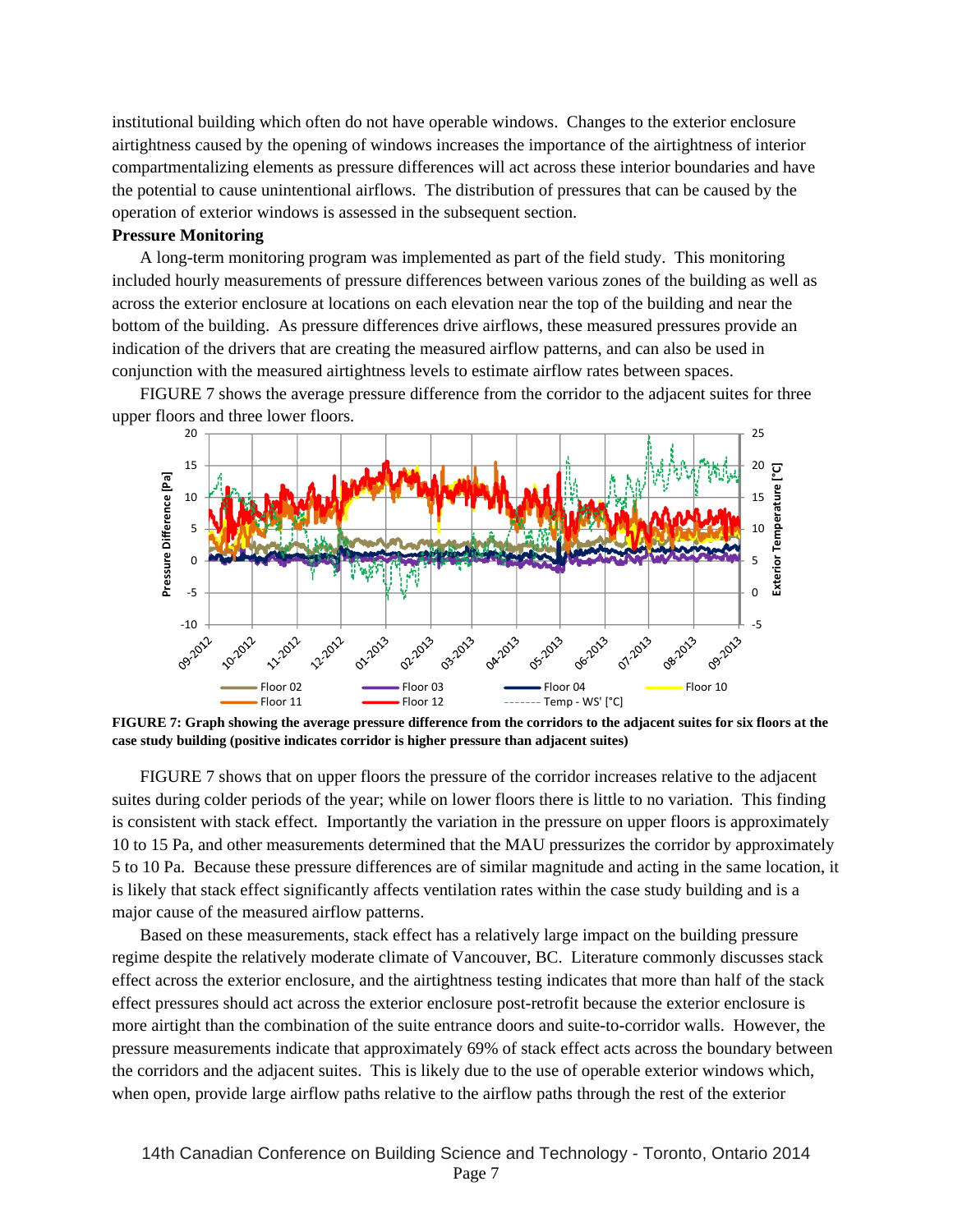institutional building which often do not have operable windows. Changes to the exterior enclosure airtightness caused by the opening of windows increases the importance of the airtightness of interior compartmentalizing elements as pressure differences will act across these interior boundaries and have the potential to cause unintentional airflows. The distribution of pressures that can be caused by the operation of exterior windows is assessed in the subsequent section.

#### **Pressure Monitoring**

A long-term monitoring program was implemented as part of the field study. This monitoring included hourly measurements of pressure differences between various zones of the building as well as across the exterior enclosure at locations on each elevation near the top of the building and near the bottom of the building. As pressure differences drive airflows, these measured pressures provide an indication of the drivers that are creating the measured airflow patterns, and can also be used in conjunction with the measured airtightness levels to estimate airflow rates between spaces.

FIGURE 7 shows the average pressure difference from the corridor to the adjacent suites for three upper floors and three lower floors.



**FIGURE 7: Graph showing the average pressure difference from the corridors to the adjacent suites for six floors at the case study building (positive indicates corridor is higher pressure than adjacent suites)** 

FIGURE 7 shows that on upper floors the pressure of the corridor increases relative to the adjacent suites during colder periods of the year; while on lower floors there is little to no variation. This finding is consistent with stack effect. Importantly the variation in the pressure on upper floors is approximately 10 to 15 Pa, and other measurements determined that the MAU pressurizes the corridor by approximately 5 to 10 Pa. Because these pressure differences are of similar magnitude and acting in the same location, it is likely that stack effect significantly affects ventilation rates within the case study building and is a major cause of the measured airflow patterns.

Based on these measurements, stack effect has a relatively large impact on the building pressure regime despite the relatively moderate climate of Vancouver, BC. Literature commonly discusses stack effect across the exterior enclosure, and the airtightness testing indicates that more than half of the stack effect pressures should act across the exterior enclosure post-retrofit because the exterior enclosure is more airtight than the combination of the suite entrance doors and suite-to-corridor walls. However, the pressure measurements indicate that approximately 69% of stack effect acts across the boundary between the corridors and the adjacent suites. This is likely due to the use of operable exterior windows which, when open, provide large airflow paths relative to the airflow paths through the rest of the exterior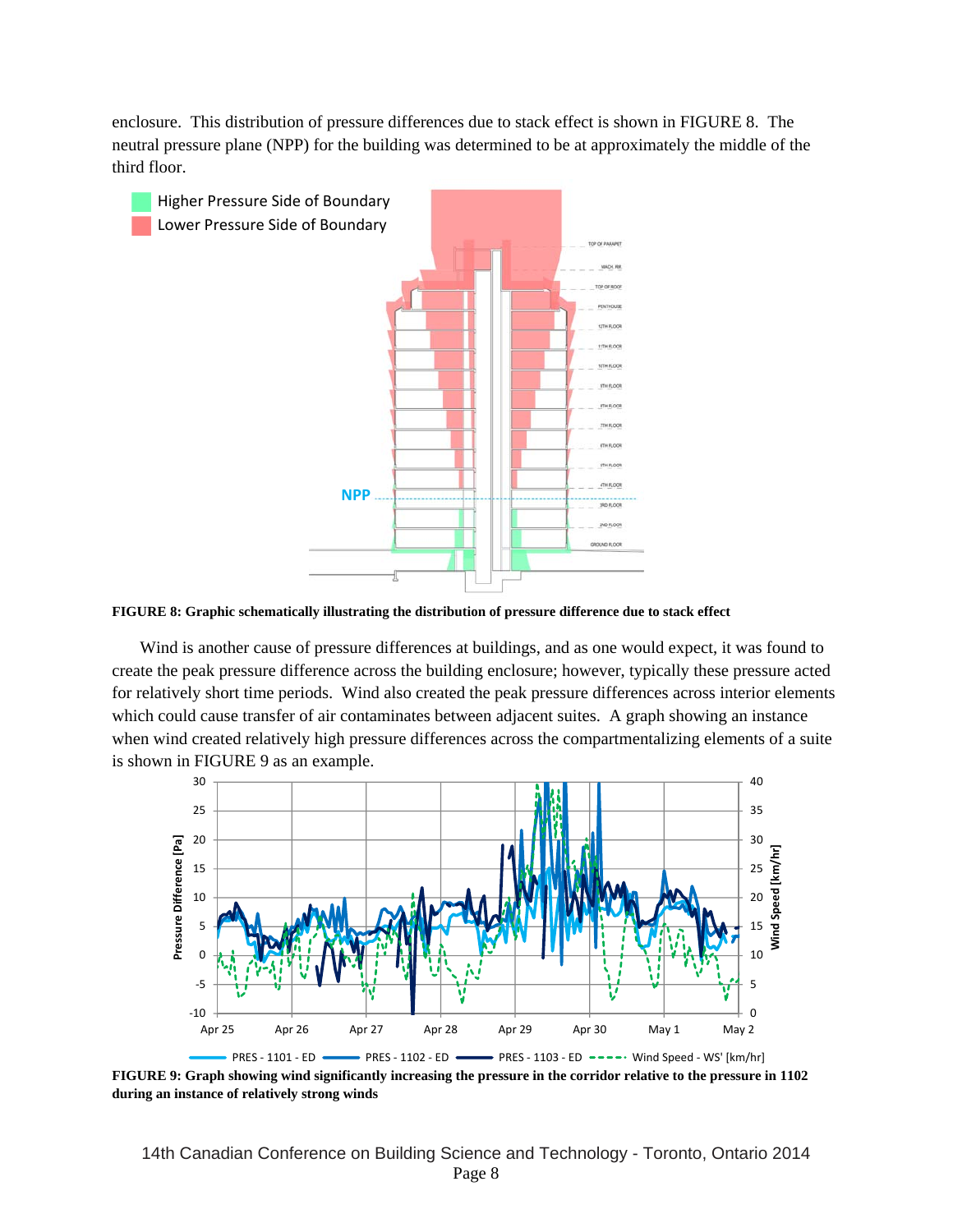enclosure. This distribution of pressure differences due to stack effect is shown in FIGURE 8. The neutral pressure plane (NPP) for the building was determined to be at approximately the middle of the third floor.



**FIGURE 8: Graphic schematically illustrating the distribution of pressure difference due to stack effect** 

Wind is another cause of pressure differences at buildings, and as one would expect, it was found to create the peak pressure difference across the building enclosure; however, typically these pressure acted for relatively short time periods. Wind also created the peak pressure differences across interior elements which could cause transfer of air contaminates between adjacent suites. A graph showing an instance when wind created relatively high pressure differences across the compartmentalizing elements of a suite is shown in FIGURE 9 as an example.



**FIGURE 9: Graph showing wind significantly increasing the pressure in the corridor relative to the pressure in 1102 during an instance of relatively strong winds** 

14th Canadian Conference on Building Science and Technology - Toronto, Ontario 2014 Page 8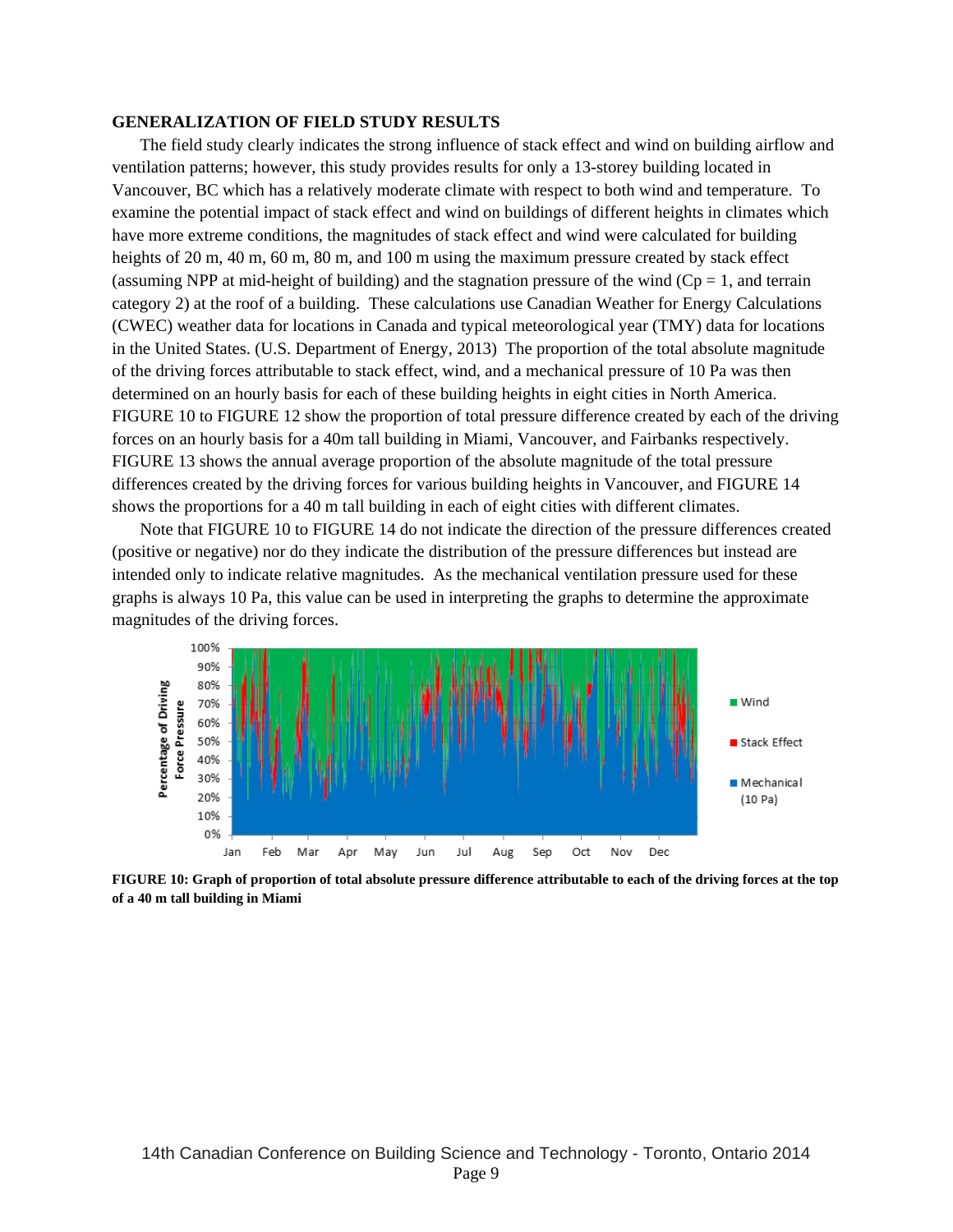### **GENERALIZATION OF FIELD STUDY RESULTS**

The field study clearly indicates the strong influence of stack effect and wind on building airflow and ventilation patterns; however, this study provides results for only a 13-storey building located in Vancouver, BC which has a relatively moderate climate with respect to both wind and temperature. To examine the potential impact of stack effect and wind on buildings of different heights in climates which have more extreme conditions, the magnitudes of stack effect and wind were calculated for building heights of 20 m, 40 m, 60 m, 80 m, and 100 m using the maximum pressure created by stack effect (assuming NPP at mid-height of building) and the stagnation pressure of the wind  $(Cp = 1$ , and terrain category 2) at the roof of a building. These calculations use Canadian Weather for Energy Calculations (CWEC) weather data for locations in Canada and typical meteorological year (TMY) data for locations in the United States. (U.S. Department of Energy, 2013) The proportion of the total absolute magnitude of the driving forces attributable to stack effect, wind, and a mechanical pressure of 10 Pa was then determined on an hourly basis for each of these building heights in eight cities in North America. FIGURE 10 to FIGURE 12 show the proportion of total pressure difference created by each of the driving forces on an hourly basis for a 40m tall building in Miami, Vancouver, and Fairbanks respectively. FIGURE 13 shows the annual average proportion of the absolute magnitude of the total pressure differences created by the driving forces for various building heights in Vancouver, and FIGURE 14 shows the proportions for a 40 m tall building in each of eight cities with different climates.

Note that FIGURE 10 to FIGURE 14 do not indicate the direction of the pressure differences created (positive or negative) nor do they indicate the distribution of the pressure differences but instead are intended only to indicate relative magnitudes. As the mechanical ventilation pressure used for these graphs is always 10 Pa, this value can be used in interpreting the graphs to determine the approximate magnitudes of the driving forces.



**FIGURE 10: Graph of proportion of total absolute pressure difference attributable to each of the driving forces at the top of a 40 m tall building in Miami**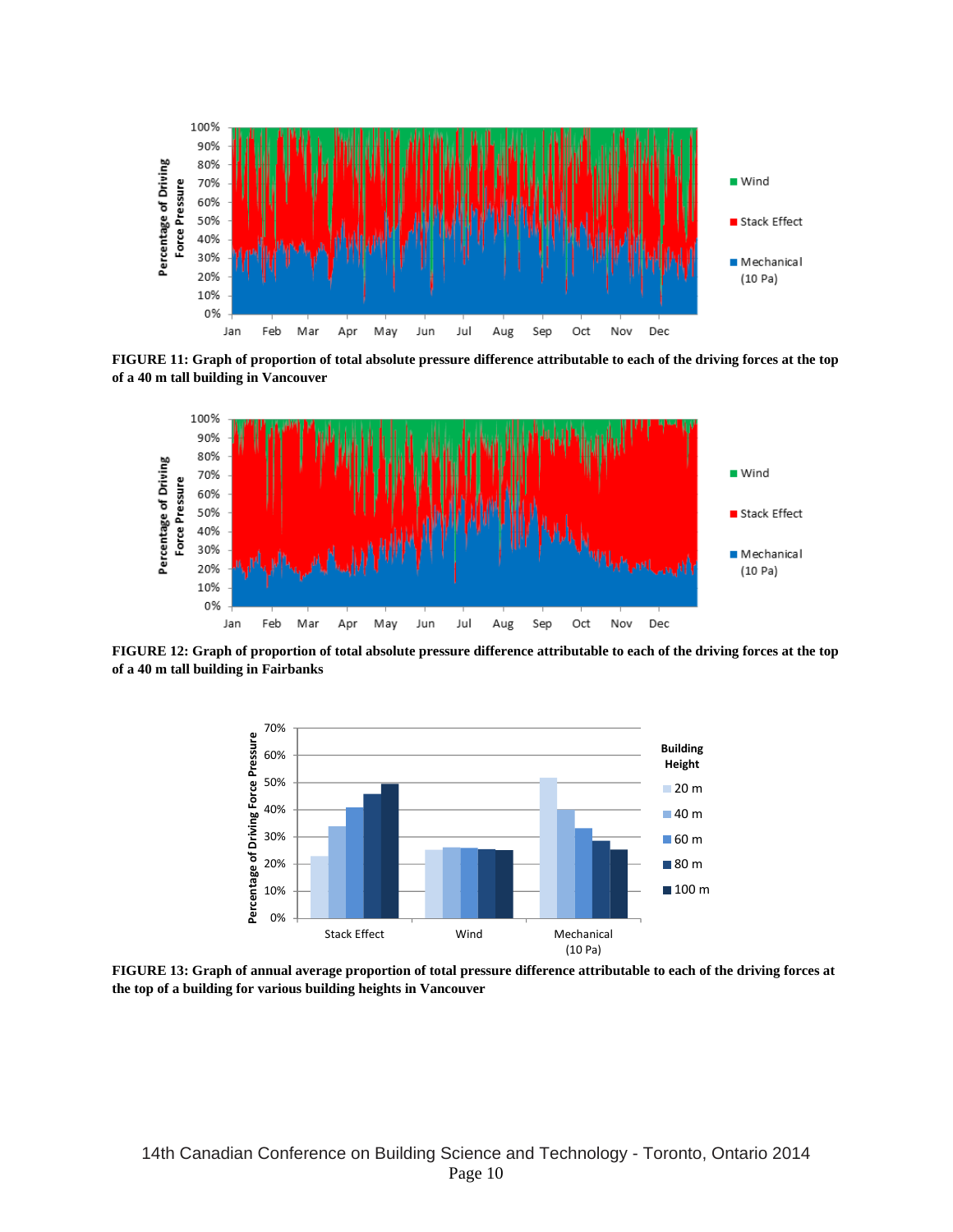

**FIGURE 11: Graph of proportion of total absolute pressure difference attributable to each of the driving forces at the top of a 40 m tall building in Vancouver** 



**FIGURE 12: Graph of proportion of total absolute pressure difference attributable to each of the driving forces at the top of a 40 m tall building in Fairbanks** 



**FIGURE 13: Graph of annual average proportion of total pressure difference attributable to each of the driving forces at the top of a building for various building heights in Vancouver**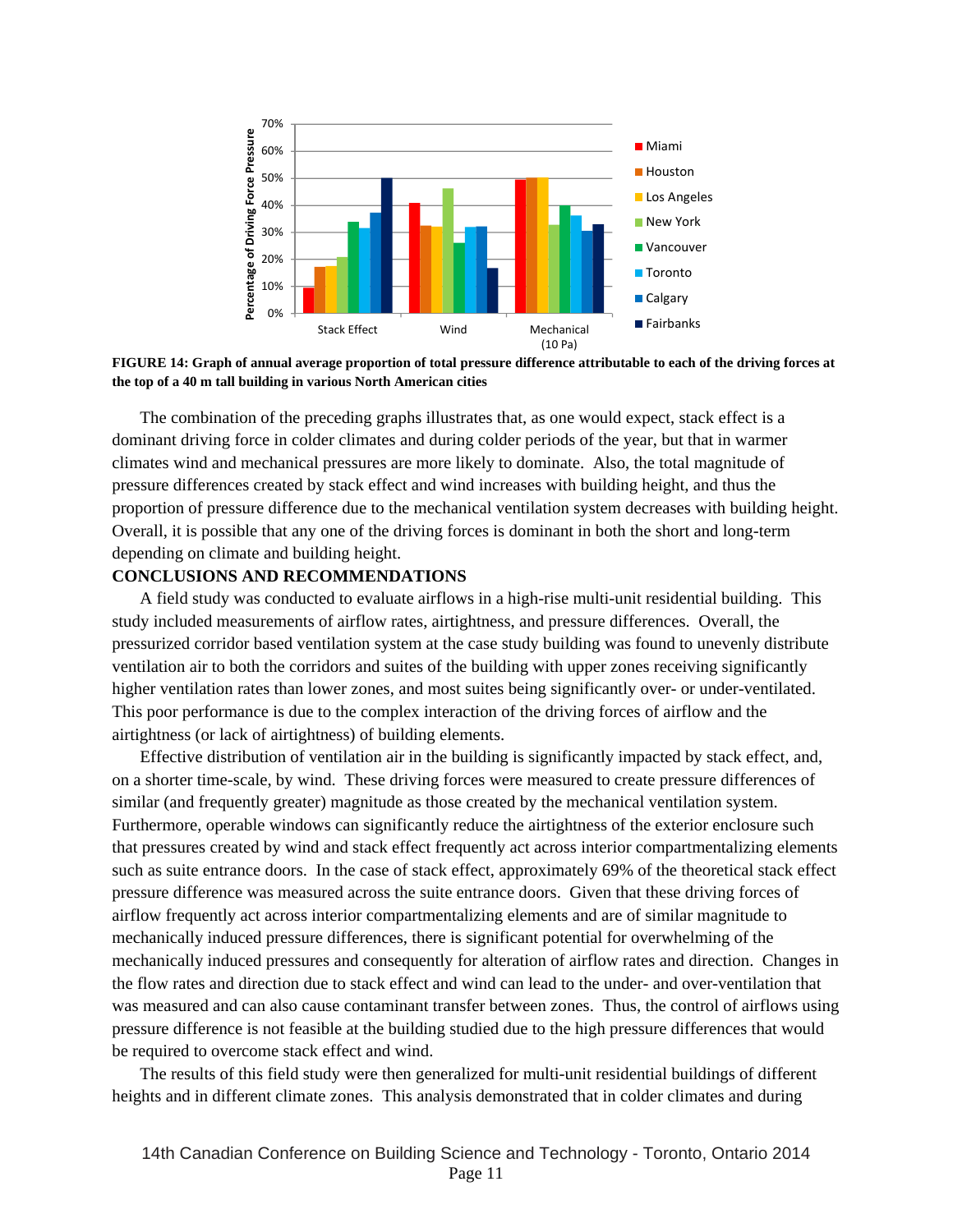

**FIGURE 14: Graph of annual average proportion of total pressure difference attributable to each of the driving forces at the top of a 40 m tall building in various North American cities** 

The combination of the preceding graphs illustrates that, as one would expect, stack effect is a dominant driving force in colder climates and during colder periods of the year, but that in warmer climates wind and mechanical pressures are more likely to dominate. Also, the total magnitude of pressure differences created by stack effect and wind increases with building height, and thus the proportion of pressure difference due to the mechanical ventilation system decreases with building height. Overall, it is possible that any one of the driving forces is dominant in both the short and long-term depending on climate and building height.

#### **CONCLUSIONS AND RECOMMENDATIONS**

A field study was conducted to evaluate airflows in a high-rise multi-unit residential building. This study included measurements of airflow rates, airtightness, and pressure differences. Overall, the pressurized corridor based ventilation system at the case study building was found to unevenly distribute ventilation air to both the corridors and suites of the building with upper zones receiving significantly higher ventilation rates than lower zones, and most suites being significantly over- or under-ventilated. This poor performance is due to the complex interaction of the driving forces of airflow and the airtightness (or lack of airtightness) of building elements.

Effective distribution of ventilation air in the building is significantly impacted by stack effect, and, on a shorter time-scale, by wind. These driving forces were measured to create pressure differences of similar (and frequently greater) magnitude as those created by the mechanical ventilation system. Furthermore, operable windows can significantly reduce the airtightness of the exterior enclosure such that pressures created by wind and stack effect frequently act across interior compartmentalizing elements such as suite entrance doors. In the case of stack effect, approximately 69% of the theoretical stack effect pressure difference was measured across the suite entrance doors. Given that these driving forces of airflow frequently act across interior compartmentalizing elements and are of similar magnitude to mechanically induced pressure differences, there is significant potential for overwhelming of the mechanically induced pressures and consequently for alteration of airflow rates and direction. Changes in the flow rates and direction due to stack effect and wind can lead to the under- and over-ventilation that was measured and can also cause contaminant transfer between zones. Thus, the control of airflows using pressure difference is not feasible at the building studied due to the high pressure differences that would be required to overcome stack effect and wind.

The results of this field study were then generalized for multi-unit residential buildings of different heights and in different climate zones. This analysis demonstrated that in colder climates and during